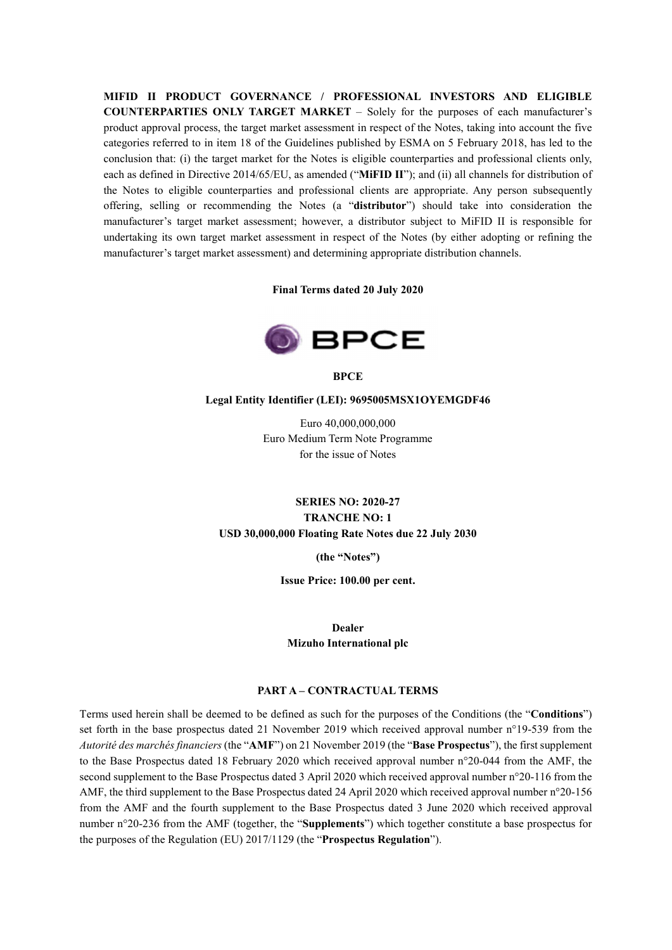MIFID II PRODUCT GOVERNANCE / PROFESSIONAL INVESTORS AND ELIGIBLE COUNTERPARTIES ONLY TARGET MARKET – Solely for the purposes of each manufacturer's product approval process, the target market assessment in respect of the Notes, taking into account the five categories referred to in item 18 of the Guidelines published by ESMA on 5 February 2018, has led to the conclusion that: (i) the target market for the Notes is eligible counterparties and professional clients only, each as defined in Directive 2014/65/EU, as amended ("MiFID II"); and (ii) all channels for distribution of the Notes to eligible counterparties and professional clients are appropriate. Any person subsequently offering, selling or recommending the Notes (a "distributor") should take into consideration the manufacturer's target market assessment; however, a distributor subject to MiFID II is responsible for undertaking its own target market assessment in respect of the Notes (by either adopting or refining the manufacturer's target market assessment) and determining appropriate distribution channels.

Final Terms dated 20 July 2020



**BPCE** 

#### Legal Entity Identifier (LEI): 9695005MSX1OYEMGDF46

Euro 40,000,000,000 Euro Medium Term Note Programme for the issue of Notes

# SERIES NO: 2020-27 TRANCHE NO: 1 USD 30,000,000 Floating Rate Notes due 22 July 2030

(the "Notes")

Issue Price: 100.00 per cent.

Dealer Mizuho International plc

### PART A – CONTRACTUAL TERMS

Terms used herein shall be deemed to be defined as such for the purposes of the Conditions (the "Conditions") set forth in the base prospectus dated 21 November 2019 which received approval number n°19-539 from the Autorité des marchés financiers (the "AMF") on 21 November 2019 (the "Base Prospectus"), the first supplement to the Base Prospectus dated 18 February 2020 which received approval number n°20-044 from the AMF, the second supplement to the Base Prospectus dated 3 April 2020 which received approval number n°20-116 from the AMF, the third supplement to the Base Prospectus dated 24 April 2020 which received approval number n°20-156 from the AMF and the fourth supplement to the Base Prospectus dated 3 June 2020 which received approval number n°20-236 from the AMF (together, the "Supplements") which together constitute a base prospectus for the purposes of the Regulation (EU) 2017/1129 (the "Prospectus Regulation").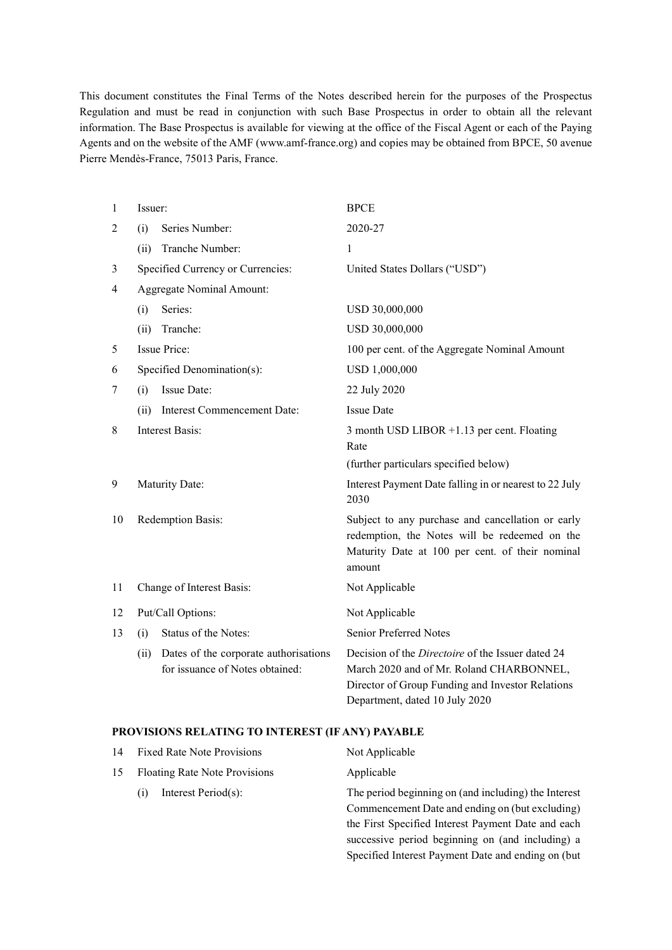This document constitutes the Final Terms of the Notes described herein for the purposes of the Prospectus Regulation and must be read in conjunction with such Base Prospectus in order to obtain all the relevant information. The Base Prospectus is available for viewing at the office of the Fiscal Agent or each of the Paying Agents and on the website of the AMF (www.amf-france.org) and copies may be obtained from BPCE, 50 avenue Pierre Mendès-France, 75013 Paris, France.

| 1  | Issuer:                                                                          | <b>BPCE</b>                                                                                                                                                                         |
|----|----------------------------------------------------------------------------------|-------------------------------------------------------------------------------------------------------------------------------------------------------------------------------------|
| 2  | Series Number:<br>(i)                                                            | 2020-27                                                                                                                                                                             |
|    | Tranche Number:<br>(ii)                                                          | $\mathbf{1}$                                                                                                                                                                        |
| 3  | Specified Currency or Currencies:                                                | United States Dollars ("USD")                                                                                                                                                       |
| 4  | Aggregate Nominal Amount:                                                        |                                                                                                                                                                                     |
|    | Series:<br>(i)                                                                   | USD 30,000,000                                                                                                                                                                      |
|    | Tranche:<br>(ii)                                                                 | USD 30,000,000                                                                                                                                                                      |
| 5  | <b>Issue Price:</b>                                                              | 100 per cent. of the Aggregate Nominal Amount                                                                                                                                       |
| 6  | Specified Denomination(s):                                                       | USD 1,000,000                                                                                                                                                                       |
| 7  | Issue Date:<br>(i)                                                               | 22 July 2020                                                                                                                                                                        |
|    | Interest Commencement Date:<br>(ii)                                              | <b>Issue Date</b>                                                                                                                                                                   |
| 8  | <b>Interest Basis:</b>                                                           | 3 month USD LIBOR +1.13 per cent. Floating<br>Rate                                                                                                                                  |
|    |                                                                                  | (further particulars specified below)                                                                                                                                               |
| 9  | Maturity Date:                                                                   | Interest Payment Date falling in or nearest to 22 July<br>2030                                                                                                                      |
| 10 | Redemption Basis:                                                                | Subject to any purchase and cancellation or early<br>redemption, the Notes will be redeemed on the<br>Maturity Date at 100 per cent. of their nominal<br>amount                     |
| 11 | Change of Interest Basis:                                                        | Not Applicable                                                                                                                                                                      |
| 12 | Put/Call Options:                                                                | Not Applicable                                                                                                                                                                      |
| 13 | Status of the Notes:<br>(i)                                                      | Senior Preferred Notes                                                                                                                                                              |
|    | Dates of the corporate authorisations<br>(ii)<br>for issuance of Notes obtained: | Decision of the Directoire of the Issuer dated 24<br>March 2020 and of Mr. Roland CHARBONNEL,<br>Director of Group Funding and Investor Relations<br>Department, dated 10 July 2020 |

#### PROVISIONS RELATING TO INTEREST (IF ANY) PAYABLE

|    | 14 Fixed Rate Note Provisions        | Not Applicable                                       |
|----|--------------------------------------|------------------------------------------------------|
| 15 | <b>Floating Rate Note Provisions</b> | Applicable                                           |
|    | Interest Period(s):<br>(1)           | The period beginning on (and including) the Interest |
|    |                                      | Commencement Date and ending on (but excluding)      |
|    |                                      | the First Specified Interest Payment Date and each   |

successive period beginning on (and including) a Specified Interest Payment Date and ending on (but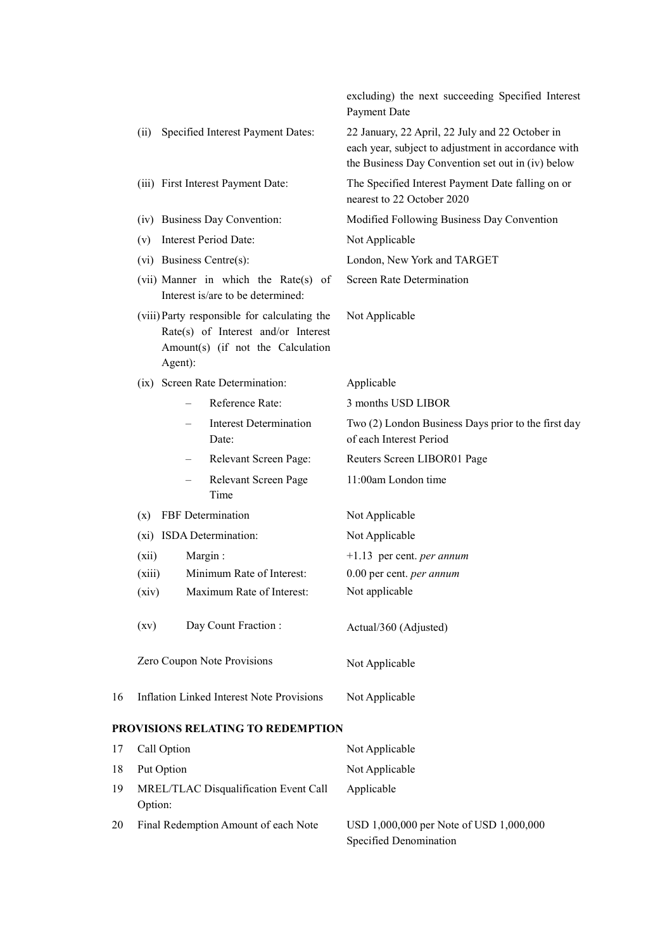|    |                                                                                                                                     | excluding) the next succeeding Specified Interest<br>Payment Date                                                                                           |
|----|-------------------------------------------------------------------------------------------------------------------------------------|-------------------------------------------------------------------------------------------------------------------------------------------------------------|
|    | Specified Interest Payment Dates:<br>(ii)                                                                                           | 22 January, 22 April, 22 July and 22 October in<br>each year, subject to adjustment in accordance with<br>the Business Day Convention set out in (iv) below |
|    | (iii) First Interest Payment Date:                                                                                                  | The Specified Interest Payment Date falling on or<br>nearest to 22 October 2020                                                                             |
|    | (iv) Business Day Convention:                                                                                                       | Modified Following Business Day Convention                                                                                                                  |
|    | Interest Period Date:<br>(v)                                                                                                        | Not Applicable                                                                                                                                              |
|    | (vi) Business Centre(s):                                                                                                            | London, New York and TARGET                                                                                                                                 |
|    | (vii) Manner in which the Rate(s) of<br>Interest is/are to be determined:                                                           | Screen Rate Determination                                                                                                                                   |
|    | (viii) Party responsible for calculating the<br>Rate(s) of Interest and/or Interest<br>Amount(s) (if not the Calculation<br>Agent): | Not Applicable                                                                                                                                              |
|    | (ix) Screen Rate Determination:                                                                                                     | Applicable                                                                                                                                                  |
|    | Reference Rate:                                                                                                                     | 3 months USD LIBOR                                                                                                                                          |
|    | <b>Interest Determination</b><br>Date:                                                                                              | Two (2) London Business Days prior to the first day<br>of each Interest Period                                                                              |
|    | Relevant Screen Page:                                                                                                               | Reuters Screen LIBOR01 Page                                                                                                                                 |
|    | Relevant Screen Page<br>Time                                                                                                        | 11:00am London time                                                                                                                                         |
|    | FBF Determination<br>(x)                                                                                                            | Not Applicable                                                                                                                                              |
|    | (xi) ISDA Determination:                                                                                                            | Not Applicable                                                                                                                                              |
|    | (xii)<br>Margin:                                                                                                                    | $+1.13$ per cent. <i>per annum</i>                                                                                                                          |
|    | (xiii)<br>Minimum Rate of Interest:                                                                                                 | 0.00 per cent. per annum                                                                                                                                    |
|    | (xiv)<br>Maximum Rate of Interest:                                                                                                  | Not applicable                                                                                                                                              |
|    | (xv)<br>Day Count Fraction:                                                                                                         | Actual/360 (Adjusted)                                                                                                                                       |
|    | Zero Coupon Note Provisions                                                                                                         | Not Applicable                                                                                                                                              |
| 16 | <b>Inflation Linked Interest Note Provisions</b>                                                                                    | Not Applicable                                                                                                                                              |
|    | <b>PROVISIONS RELATING TO REDEMPTION</b>                                                                                            |                                                                                                                                                             |
| 17 | Call Option                                                                                                                         | Not Applicable                                                                                                                                              |
| 18 | Put Option                                                                                                                          | Not Applicable                                                                                                                                              |
| 19 | MREL/TLAC Disqualification Event Call<br>Option:                                                                                    | Applicable                                                                                                                                                  |
| 20 | Final Redemption Amount of each Note                                                                                                | USD 1,000,000 per Note of USD 1,000,000                                                                                                                     |

Specified Denomination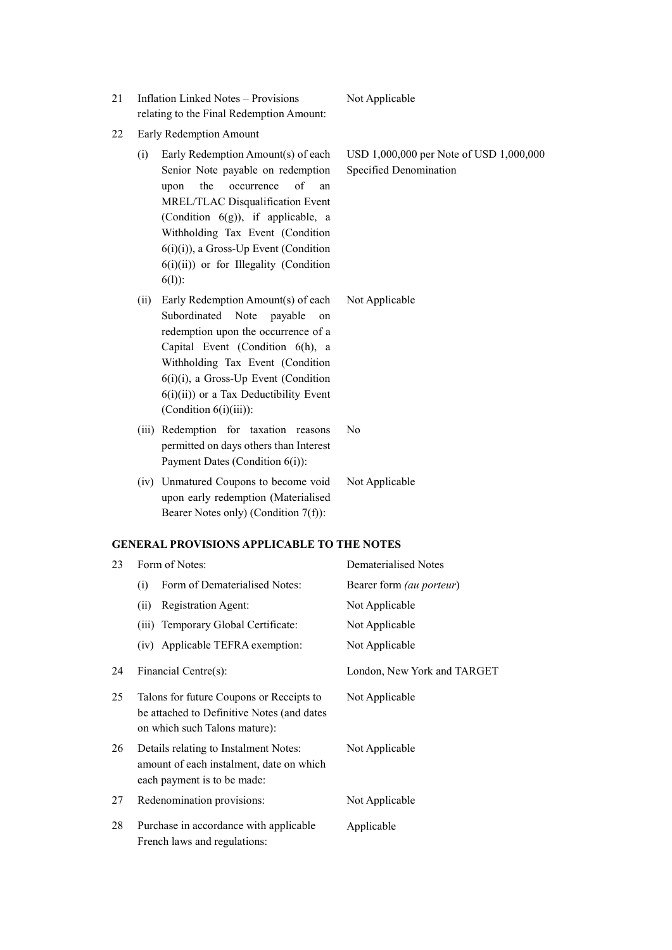- 21 Inflation Linked Notes Provisions relating to the Final Redemption Amount:
- 22 Early Redemption Amount
	- (i) Early Redemption Amount(s) of each Senior Note payable on redemption upon the occurrence of an MREL/TLAC Disqualification Event (Condition 6(g)), if applicable, a Withholding Tax Event (Condition 6(i)(i)), a Gross-Up Event (Condition 6(i)(ii)) or for Illegality (Condition 6(l)):
	- (ii) Early Redemption Amount(s) of each Subordinated Note payable on redemption upon the occurrence of a Capital Event (Condition 6(h), a Withholding Tax Event (Condition 6(i)(i), a Gross-Up Event (Condition  $6(i)(ii)$  or a Tax Deductibility Event (Condition 6(i)(iii)):
	- (iii) Redemption for taxation reasons permitted on days others than Interest Payment Dates (Condition 6(i)):
	- (iv) Unmatured Coupons to become void upon early redemption (Materialised Bearer Notes only) (Condition 7(f)):

#### GENERAL PROVISIONS APPLICABLE TO THE NOTES

| 23 | Form of Notes:                                                                                                          | Dematerialised Notes        |
|----|-------------------------------------------------------------------------------------------------------------------------|-----------------------------|
|    | Form of Dematerialised Notes:<br>(i)                                                                                    | Bearer form (au porteur)    |
|    | (ii)<br>Registration Agent:                                                                                             | Not Applicable              |
|    | Temporary Global Certificate:<br>(iii)                                                                                  | Not Applicable              |
|    | (iv) Applicable TEFRA exemption:                                                                                        | Not Applicable              |
| 24 | Financial Centre(s):                                                                                                    | London, New York and TARGET |
| 25 | Talons for future Coupons or Receipts to<br>be attached to Definitive Notes (and dates<br>on which such Talons mature): | Not Applicable              |
| 26 | Details relating to Instalment Notes:<br>amount of each instalment, date on which<br>each payment is to be made:        | Not Applicable              |
| 27 | Redenomination provisions:                                                                                              | Not Applicable              |
| 28 | Purchase in accordance with applicable<br>French laws and regulations:                                                  | Applicable                  |

USD 1,000,000 per Note of USD 1,000,000

Not Applicable

No

Not Applicable

Specified Denomination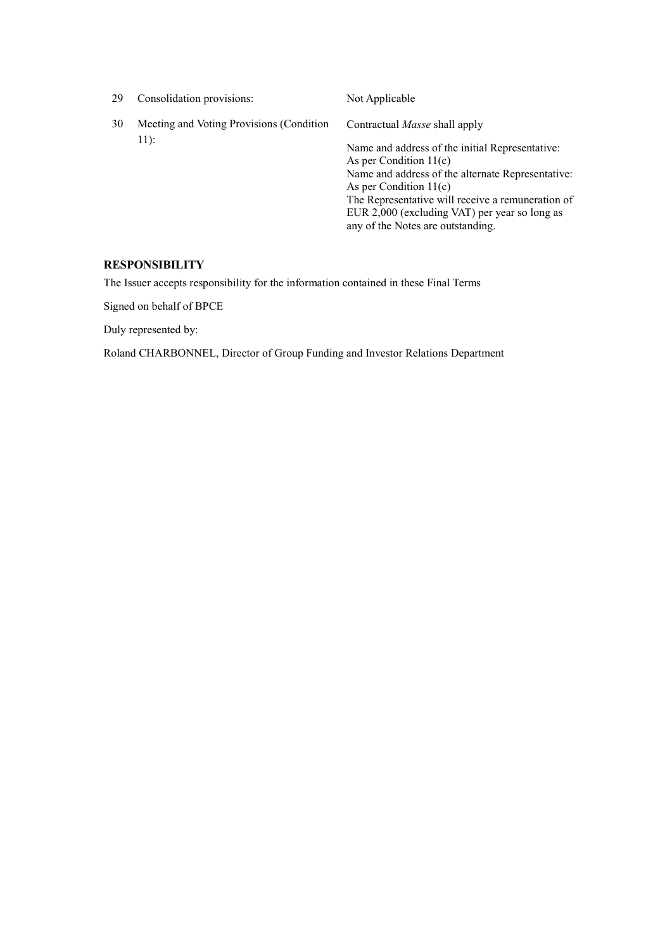| 29 | Consolidation provisions:                | Not Applicable                                                                                                                                                                                                                                                                                          |
|----|------------------------------------------|---------------------------------------------------------------------------------------------------------------------------------------------------------------------------------------------------------------------------------------------------------------------------------------------------------|
| 30 | Meeting and Voting Provisions (Condition | Contractual <i>Masse</i> shall apply                                                                                                                                                                                                                                                                    |
|    | $11$ :                                   | Name and address of the initial Representative:<br>As per Condition $11(c)$<br>Name and address of the alternate Representative:<br>As per Condition $11(c)$<br>The Representative will receive a remuneration of<br>EUR 2,000 (excluding VAT) per year so long as<br>any of the Notes are outstanding. |

## RESPONSIBILITY

The Issuer accepts responsibility for the information contained in these Final Terms

Signed on behalf of BPCE

Duly represented by:

Roland CHARBONNEL, Director of Group Funding and Investor Relations Department